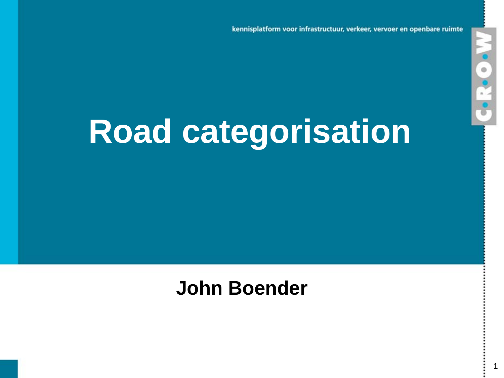kennisplatform voor infrastructuur, verkeer, vervoer en openbare ruimte

1

M-G-N-5

# **Road categorisation**

### **John Boender**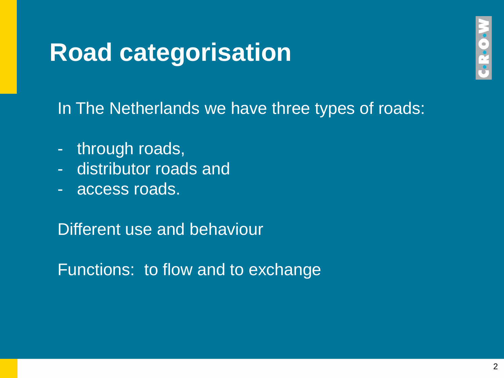In The Netherlands we have three types of roads:

- through roads,
- distributor roads and
- access roads.

Different use and behaviour

Functions: to flow and to exchange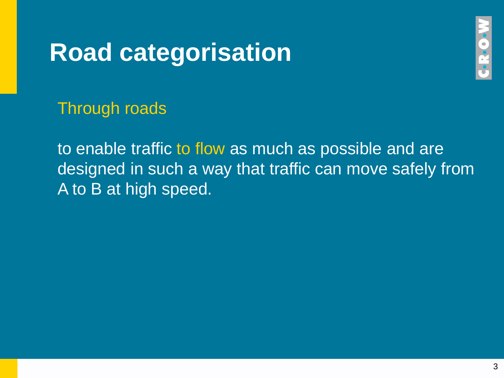

Through roads

to enable traffic to flow as much as possible and are designed in such a way that traffic can move safely from A to B at high speed.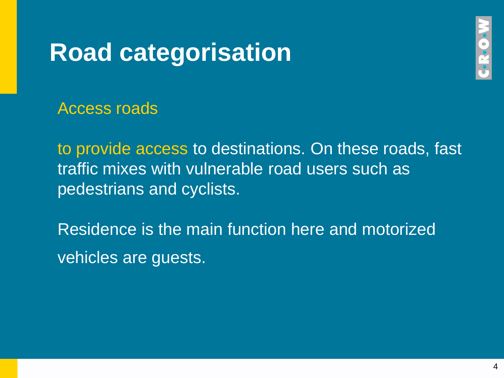

Access roads

to provide access to destinations. On these roads, fast traffic mixes with vulnerable road users such as pedestrians and cyclists.

Residence is the main function here and motorized vehicles are guests.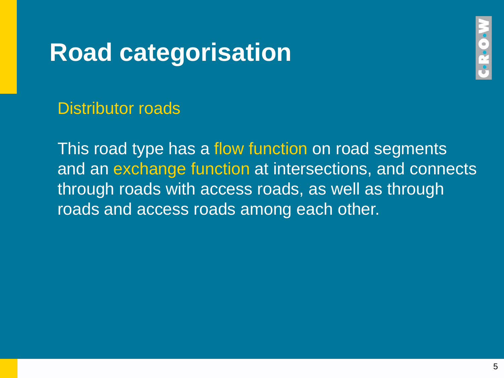

Distributor roads

This road type has a flow function on road segments and an exchange function at intersections, and connects through roads with access roads, as well as through roads and access roads among each other.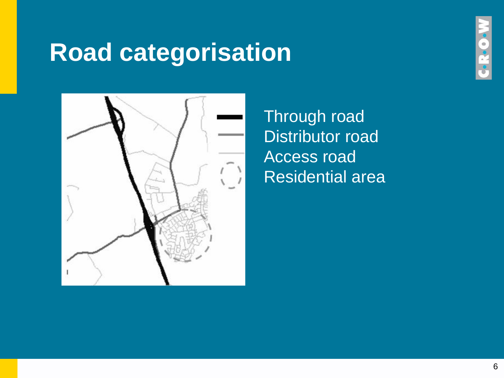

Through road Distributor road Access road Residential area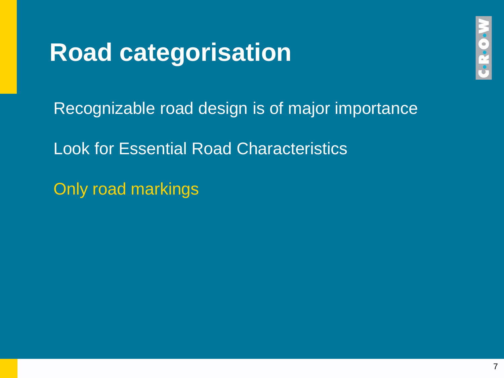Recognizable road design is of major importance

Look for Essential Road Characteristics

Only road markings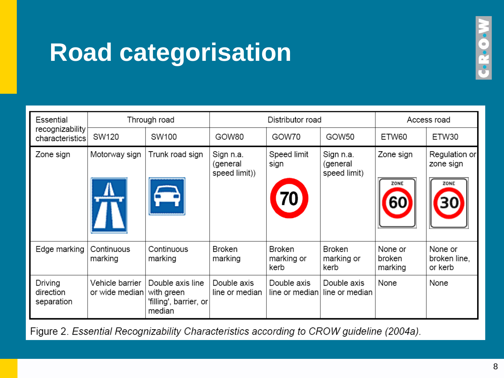| ۱   |
|-----|
| i   |
| ٠   |
|     |
| - 7 |
| ×   |

| Essential<br>recognizability<br>characteristics | Through road                      |                                                                    | Distributor road                       |                                     |                                       | Access road                  |                                    |
|-------------------------------------------------|-----------------------------------|--------------------------------------------------------------------|----------------------------------------|-------------------------------------|---------------------------------------|------------------------------|------------------------------------|
|                                                 | SW120                             | SW100                                                              | GOW80                                  | GOW70                               | GOW50                                 | ETW60                        | ETW30                              |
| Zone sign                                       | Motorway sign                     | Trunk road sign                                                    | Sign n.a.<br>(general<br>speed limit)) | Speed limit<br>sign                 | Sign n.a.<br>(general<br>speed limit) | Zone sign<br>ZONE            | Regulation or<br>zone sign<br>ZONE |
| Edge marking                                    | Continuous<br>marking             | Continuous<br>marking                                              | <b>Broken</b><br>marking               | <b>Broken</b><br>marking or<br>kerb | <b>Broken</b><br>marking or<br>kerb   | None or<br>broken<br>marking | None or<br>broken line,<br>or kerb |
| Driving<br>direction<br>separation              | Vehicle barrier<br>or wide median | Double axis line<br>with green<br>'filling', barrier, or<br>median | Double axis<br>line or median          | Double axis<br>line or median       | Double axis<br>line or median         | None                         | None                               |

Figure 2. Essential Recognizability Characteristics according to CROW guideline (2004a).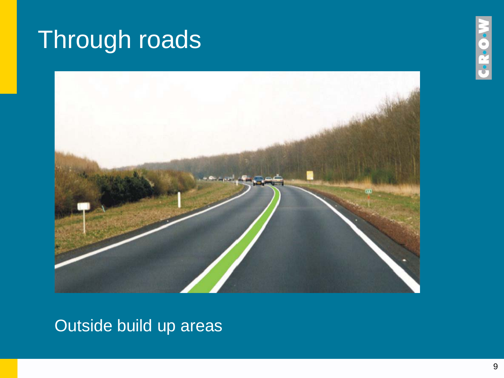## Through roads



Outside build up areas

**.C.R.**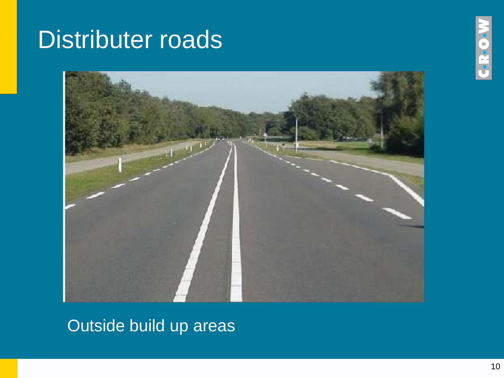### Distributer roads



#### Outside build up areas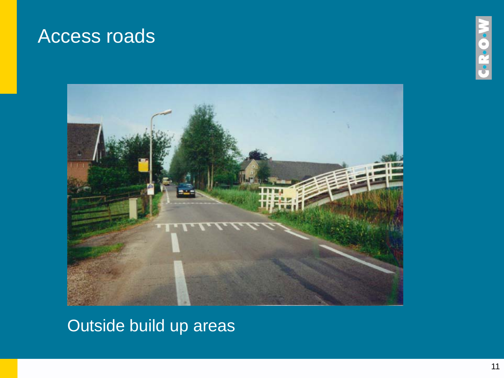### Access roads





#### Outside build up areas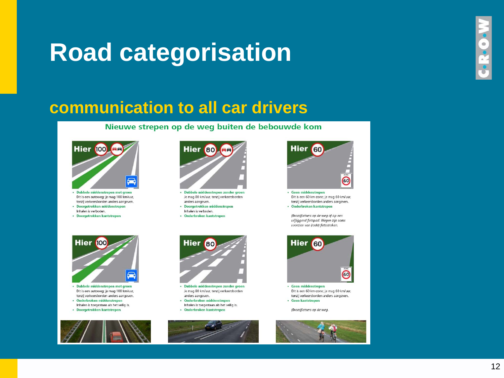#### **communication to all car drivers**

Nieuwe strepen op de weg buiten de bebouwde kom



- · Dubbele middenstrepen met groen Dit is een autoweg; je mag 100 km/uur, tenzij verkeersborden anders aangeven.
- · Doorgetrokken middenstrepen
- Inhalen is verboden.
- · Doorgetrokken kantstrepen



- · Dubbele middenstrepen zonder groen Je mag 80 km/uur, tenzij verkeersborden anders aangeven.
- · Doorgetrokken middenstrepen Inhalen is verboden.
- · Onderbroken kantstrepen



· Geen middenstrepen Dit is een 60 km-zone; je mag 60 km/uur, tenzij verkeersborden anders aangeven. · Onderbroken kantstrepen

(Brom)fietsers op de wea of op een vrijliggend fietspad. Wegen zijn soms voorzien van (rode) fietsstroken.



- · Dubbele middenstrepen met groen Dit is een autoweg; je mag 100 km/uur, tenzij verkeersborden anders aangeven. · Onderbroken middenstrepen
- Inhalen is toegestaan als het veilig is.
- · Doorgetrokken kantstrepen





- · Dubbele middenstrepen zonder groen Je mag 80 km/uur, tenzij verkeersborden anders aangeven.
- · Onderbroken middenstrepen Inhalen is toegestaan als het veilig is.
- · Onderbroken kantstrepen





Dit is een 60 km-zone; je mag 60 km/uur, tenzij verkeersborden anders aangeven. • Geen kantstrepen

(Brom)fietsers op de weg.



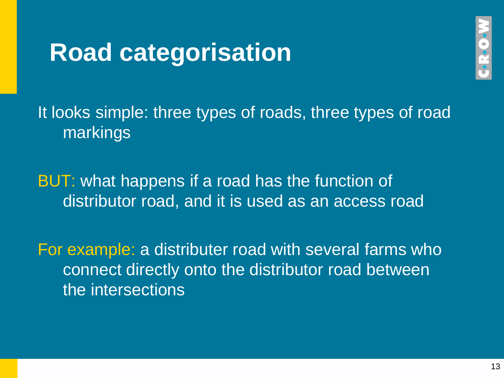

It looks simple: three types of roads, three types of road markings

BUT: what happens if a road has the function of distributor road, and it is used as an access road

For example: a distributer road with several farms who connect directly onto the distributor road between the intersections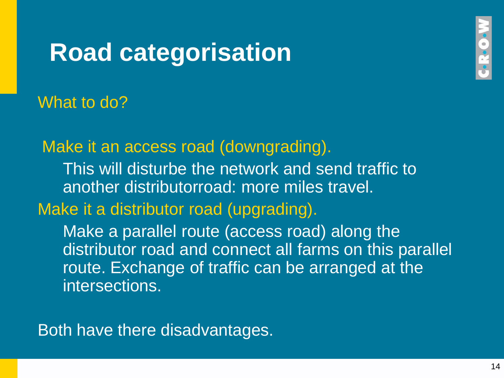**Coc** 

#### What to do?

Make it an access road (downgrading).

This will disturbe the network and send traffic to another distributorroad: more miles travel.

Make it a distributor road (upgrading).

Make a parallel route (access road) along the distributor road and connect all farms on this parallel route. Exchange of traffic can be arranged at the intersections.

Both have there disadvantages.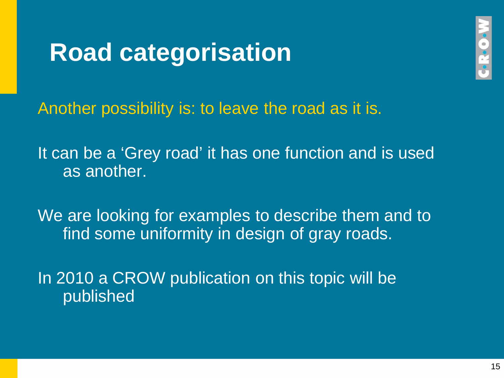

Another possibility is: to leave the road as it is.

It can be a 'Grey road' it has one function and is used as another.

We are looking for examples to describe them and to find some uniformity in design of gray roads.

In 2010 a CROW publication on this topic will be published